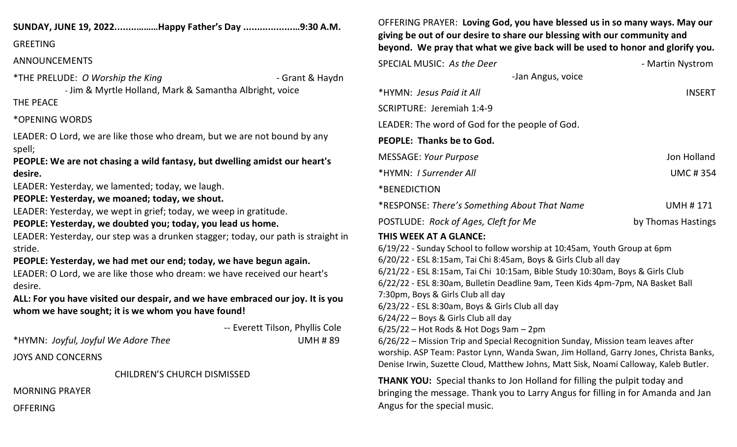## **SUNDAY, JUNE 19, 2022........………Happy Father's Day ..................…9:30 A.M.**

#### GREETING

## ANNOUNCEMENTS

\*THE PRELUDE: *O Worship the King* - Grant & Haydn - Jim & Myrtle Holland, Mark & Samantha Albright, voice

## THE PEACE

## \*OPENING WORDS

LEADER: O Lord, we are like those who dream, but we are not bound by any spell;

**PEOPLE: We are not chasing a wild fantasy, but dwelling amidst our heart's desire.**

LEADER: Yesterday, we lamented; today, we laugh.

# **PEOPLE: Yesterday, we moaned; today, we shout.**

LEADER: Yesterday, we wept in grief; today, we weep in gratitude.

# **PEOPLE: Yesterday, we doubted you; today, you lead us home.**

LEADER: Yesterday, our step was a drunken stagger; today, our path is straight in stride.

**PEOPLE: Yesterday, we had met our end; today, we have begun again.** LEADER: O Lord, we are like those who dream: we have received our heart's

desire.

**ALL: For you have visited our despair, and we have embraced our joy. It is you whom we have sought; it is we whom you have found!**

 -- Everett Tilson, Phyllis Cole \*HYMN: *Joyful, Joyful We Adore Thee* UMH # 89 JOYS AND CONCERNS

CHILDREN'S CHURCH DISMISSED

MORNING PRAYER

**OFFERING** 

OFFERING PRAYER: **Loving God, you have blessed us in so many ways. May our giving be out of our desire to share our blessing with our community and beyond. We pray that what we give back will be used to honor and glorify you.**

| <b>SPECIAL MUSIC: As the Deer</b>              |                   | - Martin Nystrom   |
|------------------------------------------------|-------------------|--------------------|
|                                                | -Jan Angus, voice |                    |
| *HYMN: Jesus Paid it All                       |                   | <b>INSERT</b>      |
| SCRIPTURE: Jeremiah 1:4-9                      |                   |                    |
| LEADER: The word of God for the people of God. |                   |                    |
| <b>PEOPLE: Thanks be to God.</b>               |                   |                    |
| <b>MESSAGE: Your Purpose</b>                   |                   | Jon Holland        |
| *HYMN: I Surrender All                         |                   | <b>UMC#354</b>     |
| *BENEDICTION                                   |                   |                    |
| *RESPONSE: There's Something About That Name   |                   | <b>UMH#171</b>     |
| POSTLUDE: Rock of Ages, Cleft for Me           |                   | by Thomas Hastings |
|                                                |                   |                    |

# **THIS WEEK AT A GLANCE:**

6/19/22 - Sunday School to follow worship at 10:45am, Youth Group at 6pm 6/20/22 - ESL 8:15am, Tai Chi 8:45am, Boys & Girls Club all day 6/21/22 - ESL 8:15am, Tai Chi 10:15am, Bible Study 10:30am, Boys & Girls Club 6/22/22 - ESL 8:30am, Bulletin Deadline 9am, Teen Kids 4pm-7pm, NA Basket Ball 7:30pm, Boys & Girls Club all day 6/23/22 - ESL 8:30am, Boys & Girls Club all day 6/24/22 – Boys & Girls Club all day 6/25/22 – Hot Rods & Hot Dogs 9am – 2pm 6/26/22 – Mission Trip and Special Recognition Sunday, Mission team leaves after worship. ASP Team: Pastor Lynn, Wanda Swan, Jim Holland, Garry Jones, Christa Banks, Denise Irwin, Suzette Cloud, Matthew Johns, Matt Sisk, Noami Calloway, Kaleb Butler.

**THANK YOU:** Special thanks to Jon Holland for filling the pulpit today and bringing the message. Thank you to Larry Angus for filling in for Amanda and Jan Angus for the special music.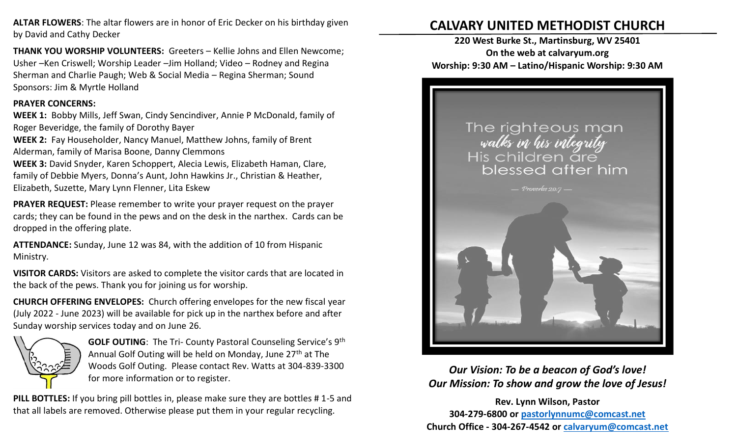**ALTAR FLOWERS**: The altar flowers are in honor of Eric Decker on his birthday given by David and Cathy Decker

**THANK YOU WORSHIP VOLUNTEERS:** Greeters – Kellie Johns and Ellen Newcome; Usher –Ken Criswell; Worship Leader –Jim Holland; Video – Rodney and Regina Sherman and Charlie Paugh; Web & Social Media – Regina Sherman; Sound Sponsors: Jim & Myrtle Holland

#### **PRAYER CONCERNS:**

**WEEK 1:** Bobby Mills, Jeff Swan, Cindy Sencindiver, Annie P McDonald, family of Roger Beveridge, the family of Dorothy Bayer

**WEEK 2:** Fay Householder, Nancy Manuel, Matthew Johns, family of Brent Alderman, family of Marisa Boone, Danny Clemmons

**WEEK 3:** David Snyder, Karen Schoppert, Alecia Lewis, Elizabeth Haman, Clare, family of Debbie Myers, Donna's Aunt, John Hawkins Jr., Christian & Heather, Elizabeth, Suzette, Mary Lynn Flenner, Lita Eskew

**PRAYER REQUEST:** Please remember to write your prayer request on the prayer cards; they can be found in the pews and on the desk in the narthex. Cards can be dropped in the offering plate.

**ATTENDANCE:** Sunday, June 12 was 84, with the addition of 10 from Hispanic Ministry.

**VISITOR CARDS:** Visitors are asked to complete the visitor cards that are located in the back of the pews. Thank you for joining us for worship.

**CHURCH OFFERING ENVELOPES:** Church offering envelopes for the new fiscal year (July 2022 - June 2023) will be available for pick up in the narthex before and after Sunday worship services today and on June 26.



**GOLF OUTING**: The Tri- County Pastoral Counseling Service's 9th Annual Golf Outing will be held on Monday, June 27<sup>th</sup> at The Woods Golf Outing. Please contact Rev. Watts at 304-839-3300 for more information or to register.

**PILL BOTTLES:** If you bring pill bottles in, please make sure they are bottles # 1-5 and that all labels are removed. Otherwise please put them in your regular recycling.

# **CALVARY UNITED METHODIST CHURCH**

**220 West Burke St., Martinsburg, WV 25401 On the web at calvaryum.org Worship: 9:30 AM – Latino/Hispanic Worship: 9:30 AM**



*Our Vision: To be a beacon of God's love! Our Mission: To show and grow the love of Jesus!*

**Rev. Lynn Wilson, Pastor 304-279-6800 or [pastorlynnumc@comcast.net](about:blank) Church Office - 304-267-4542 or [calvaryum@comcast.net](about:blank)**